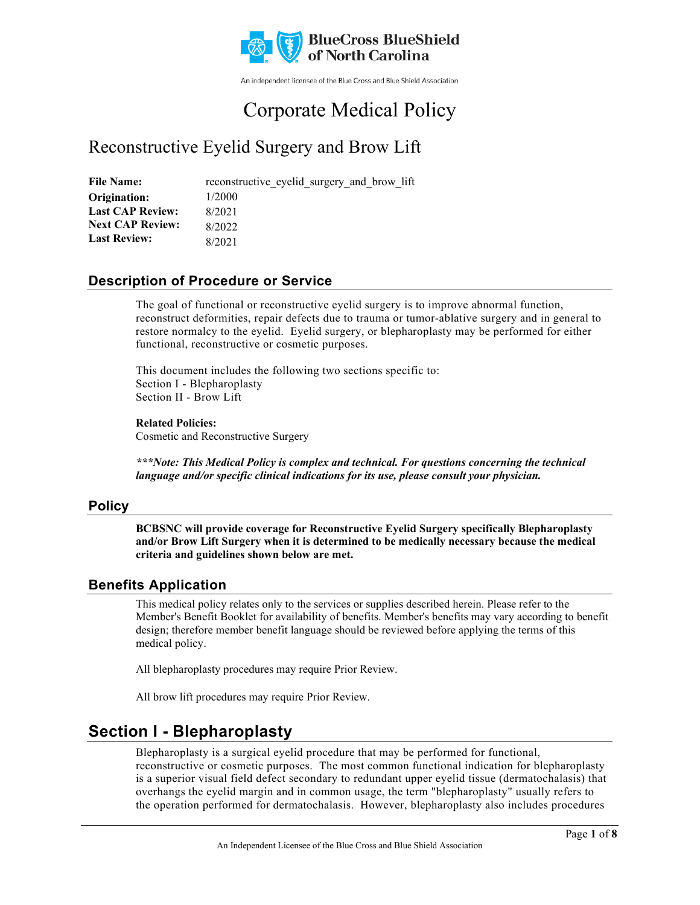

An independent licensee of the Blue Cross and Blue Shield Association

# Corporate Medical Policy

# Reconstructive Eyelid Surgery and Brow Lift

File Name: reconstructive eyelid surgery and brow lift 1/2000 8/2021 8/2022 8/2021 **Origination: Last CAP Review: Next CAP Review: Last Review:**

### **Description of Procedure or Service**

The goal of functional or reconstructive eyelid surgery is to improve abnormal function, reconstruct deformities, repair defects due to trauma or tumor-ablative surgery and in general to restore normalcy to the eyelid. Eyelid surgery, or blepharoplasty may be performed for either functional, reconstructive or cosmetic purposes.

This document includes the following two sections specific to: Section I - Blepharoplasty Section II - Brow Lift

#### **Related Policies:**

Cosmetic and Reconstructive Surgery

*\*\*\*Note: This Medical Policy is complex and technical. For questions concerning the technical language and/or specific clinical indications for its use, please consult your physician.*

### **Policy**

**BCBSNC will provide coverage for Reconstructive Eyelid Surgery specifically Blepharoplasty and/or Brow Lift Surgery when it is determined to be medically necessary because the medical criteria and guidelines shown below are met.**

### **Benefits Application**

This medical policy relates only to the services or supplies described herein. Please refer to the Member's Benefit Booklet for availability of benefits. Member's benefits may vary according to benefit design; therefore member benefit language should be reviewed before applying the terms of this medical policy.

All blepharoplasty procedures may require Prior Review.

All brow lift procedures may require Prior Review.

### **Section I - Blepharoplasty**

Blepharoplasty is a surgical eyelid procedure that may be performed for functional, reconstructive or cosmetic purposes. The most common functional indication for blepharoplasty is a superior visual field defect secondary to redundant upper eyelid tissue (dermatochalasis) that overhangs the eyelid margin and in common usage, the term "blepharoplasty" usually refers to the operation performed for dermatochalasis. However, blepharoplasty also includes procedures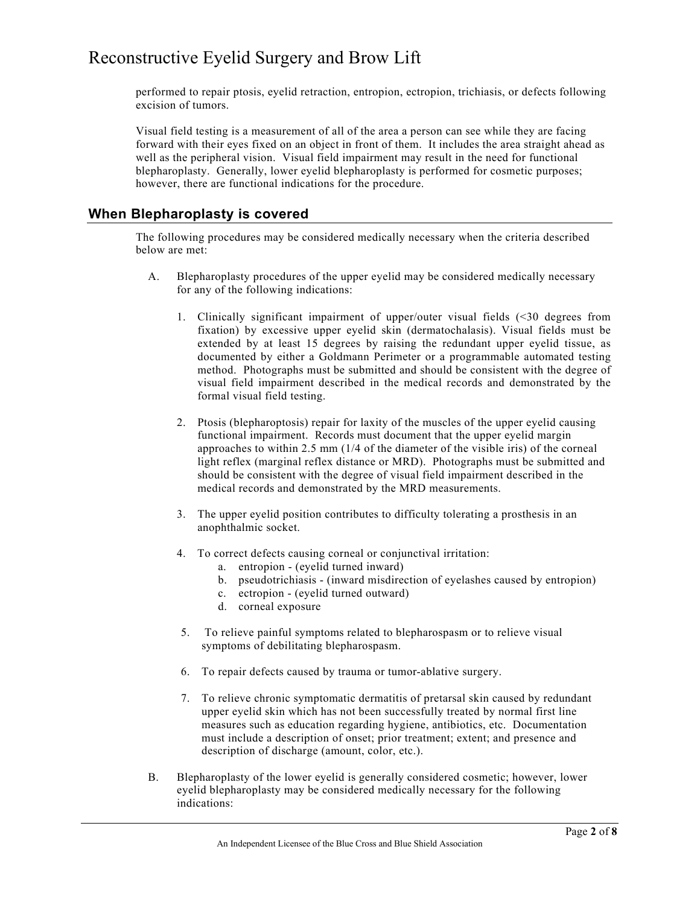performed to repair ptosis, eyelid retraction, entropion, ectropion, trichiasis, or defects following excision of tumors.

Visual field testing is a measurement of all of the area a person can see while they are facing forward with their eyes fixed on an object in front of them. It includes the area straight ahead as well as the peripheral vision. Visual field impairment may result in the need for functional blepharoplasty. Generally, lower eyelid blepharoplasty is performed for cosmetic purposes; however, there are functional indications for the procedure.

#### **When Blepharoplasty is covered**

The following procedures may be considered medically necessary when the criteria described below are met:

- A. Blepharoplasty procedures of the upper eyelid may be considered medically necessary for any of the following indications:
	- 1. Clinically significant impairment of upper/outer visual fields (<30 degrees from fixation) by excessive upper eyelid skin (dermatochalasis). Visual fields must be extended by at least 15 degrees by raising the redundant upper eyelid tissue, as documented by either a Goldmann Perimeter or a programmable automated testing method. Photographs must be submitted and should be consistent with the degree of visual field impairment described in the medical records and demonstrated by the formal visual field testing.
	- 2. Ptosis (blepharoptosis) repair for laxity of the muscles of the upper eyelid causing functional impairment. Records must document that the upper eyelid margin approaches to within 2.5 mm (1/4 of the diameter of the visible iris) of the corneal light reflex (marginal reflex distance or MRD). Photographs must be submitted and should be consistent with the degree of visual field impairment described in the medical records and demonstrated by the MRD measurements.
	- 3. The upper eyelid position contributes to difficulty tolerating a prosthesis in an anophthalmic socket.
	- 4. To correct defects causing corneal or conjunctival irritation:
		- a. entropion (eyelid turned inward)
		- b. pseudotrichiasis (inward misdirection of eyelashes caused by entropion)
		- c. ectropion (eyelid turned outward)
		- d. corneal exposure
	- 5. To relieve painful symptoms related to blepharospasm or to relieve visual symptoms of debilitating blepharospasm.
	- 6. To repair defects caused by trauma or tumor-ablative surgery.
	- 7. To relieve chronic symptomatic dermatitis of pretarsal skin caused by redundant upper eyelid skin which has not been successfully treated by normal first line measures such as education regarding hygiene, antibiotics, etc. Documentation must include a description of onset; prior treatment; extent; and presence and description of discharge (amount, color, etc.).
- B. Blepharoplasty of the lower eyelid is generally considered cosmetic; however, lower eyelid blepharoplasty may be considered medically necessary for the following indications: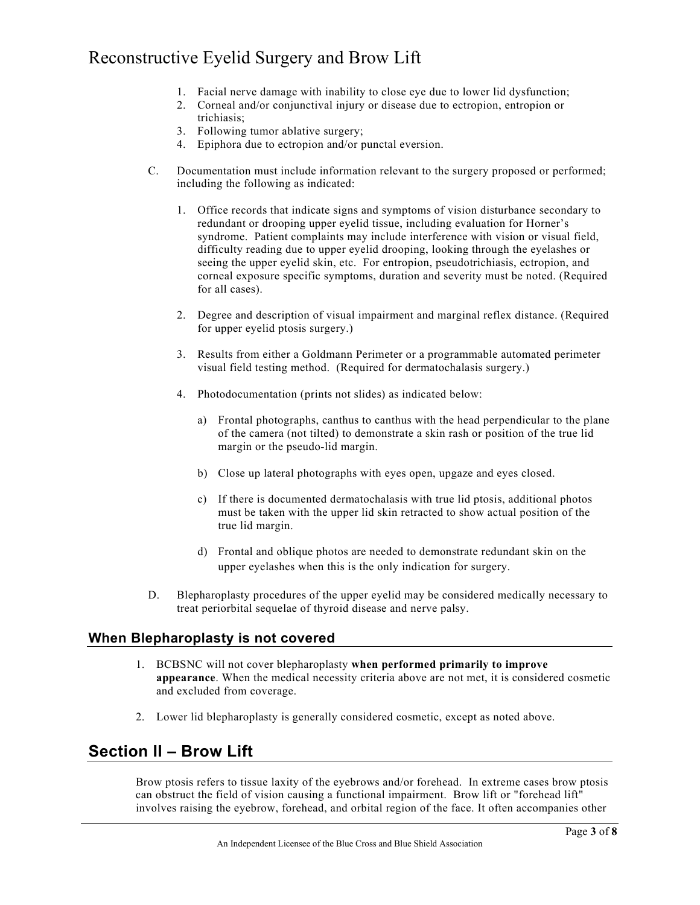- 1. Facial nerve damage with inability to close eye due to lower lid dysfunction;
- 2. Corneal and/or conjunctival injury or disease due to ectropion, entropion or trichiasis;
- 3. Following tumor ablative surgery;
- 4. Epiphora due to ectropion and/or punctal eversion.
- C. Documentation must include information relevant to the surgery proposed or performed; including the following as indicated:
	- 1. Office records that indicate signs and symptoms of vision disturbance secondary to redundant or drooping upper eyelid tissue, including evaluation for Horner's syndrome. Patient complaints may include interference with vision or visual field, difficulty reading due to upper eyelid drooping, looking through the eyelashes or seeing the upper eyelid skin, etc. For entropion, pseudotrichiasis, ectropion, and corneal exposure specific symptoms, duration and severity must be noted. (Required for all cases).
	- 2. Degree and description of visual impairment and marginal reflex distance. (Required for upper eyelid ptosis surgery.)
	- 3. Results from either a Goldmann Perimeter or a programmable automated perimeter visual field testing method. (Required for dermatochalasis surgery.)
	- 4. Photodocumentation (prints not slides) as indicated below:
		- a) Frontal photographs, canthus to canthus with the head perpendicular to the plane of the camera (not tilted) to demonstrate a skin rash or position of the true lid margin or the pseudo-lid margin.
		- b) Close up lateral photographs with eyes open, upgaze and eyes closed.
		- c) If there is documented dermatochalasis with true lid ptosis, additional photos must be taken with the upper lid skin retracted to show actual position of the true lid margin.
		- d) Frontal and oblique photos are needed to demonstrate redundant skin on the upper eyelashes when this is the only indication for surgery.
- D. Blepharoplasty procedures of the upper eyelid may be considered medically necessary to treat periorbital sequelae of thyroid disease and nerve palsy.

#### **When Blepharoplasty is not covered**

- 1. BCBSNC will not cover blepharoplasty **when performed primarily to improve appearance**. When the medical necessity criteria above are not met, it is considered cosmetic and excluded from coverage.
- 2. Lower lid blepharoplasty is generally considered cosmetic, except as noted above.

### **Section II – Brow Lift**

Brow ptosis refers to tissue laxity of the eyebrows and/or forehead. In extreme cases brow ptosis can obstruct the field of vision causing a functional impairment. Brow lift or "forehead lift" involves raising the eyebrow, forehead, and orbital region of the face. It often accompanies other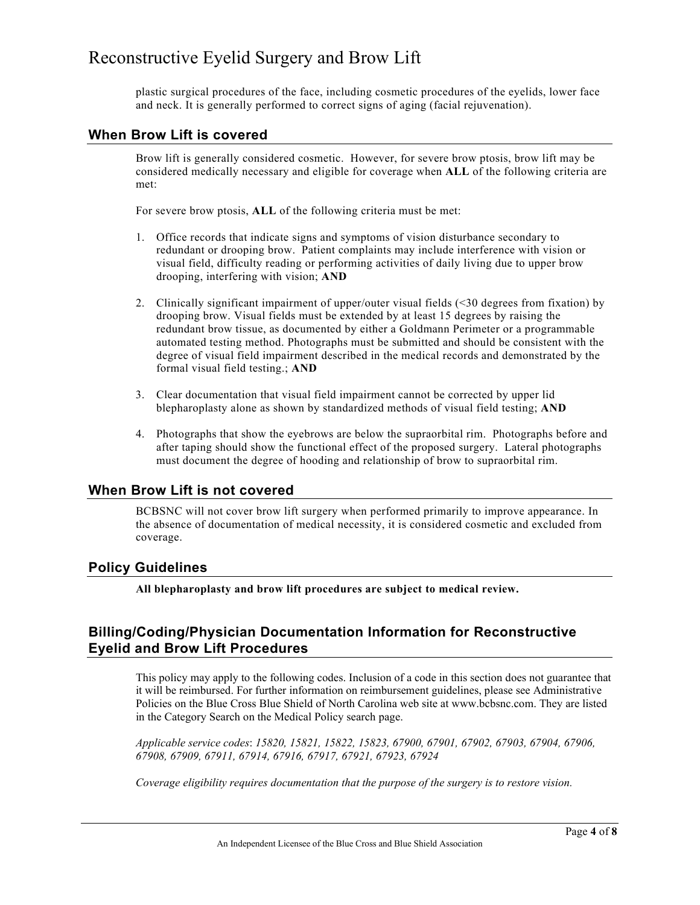plastic surgical procedures of the face, including cosmetic procedures of the eyelids, lower face and neck. It is generally performed to correct signs of aging (facial rejuvenation).

#### **When Brow Lift is covered**

Brow lift is generally considered cosmetic. However, for severe brow ptosis, brow lift may be considered medically necessary and eligible for coverage when **ALL** of the following criteria are met:

For severe brow ptosis, **ALL** of the following criteria must be met:

- 1. Office records that indicate signs and symptoms of vision disturbance secondary to redundant or drooping brow. Patient complaints may include interference with vision or visual field, difficulty reading or performing activities of daily living due to upper brow drooping, interfering with vision; **AND**
- 2. Clinically significant impairment of upper/outer visual fields (<30 degrees from fixation) by drooping brow. Visual fields must be extended by at least 15 degrees by raising the redundant brow tissue, as documented by either a Goldmann Perimeter or a programmable automated testing method. Photographs must be submitted and should be consistent with the degree of visual field impairment described in the medical records and demonstrated by the formal visual field testing.; **AND**
- 3. Clear documentation that visual field impairment cannot be corrected by upper lid blepharoplasty alone as shown by standardized methods of visual field testing; **AND**
- 4. Photographs that show the eyebrows are below the supraorbital rim. Photographs before and after taping should show the functional effect of the proposed surgery. Lateral photographs must document the degree of hooding and relationship of brow to supraorbital rim.

#### **When Brow Lift is not covered**

BCBSNC will not cover brow lift surgery when performed primarily to improve appearance. In the absence of documentation of medical necessity, it is considered cosmetic and excluded from coverage.

#### **Policy Guidelines**

**All blepharoplasty and brow lift procedures are subject to medical review.**

### **Billing/Coding/Physician Documentation Information for Reconstructive Eyelid and Brow Lift Procedures**

This policy may apply to the following codes. Inclusion of a code in this section does not guarantee that it will be reimbursed. For further information on reimbursement guidelines, please see Administrative Policies on the Blue Cross Blue Shield of North Carolina web site at www.bcbsnc.com. They are listed in the Category Search on the Medical Policy search page.

*Applicable service codes*: *15820, 15821, 15822, 15823, 67900, 67901, 67902, 67903, 67904, 67906, 67908, 67909, 67911, 67914, 67916, 67917, 67921, 67923, 67924*

*Coverage eligibility requires documentation that the purpose of the surgery is to restore vision.*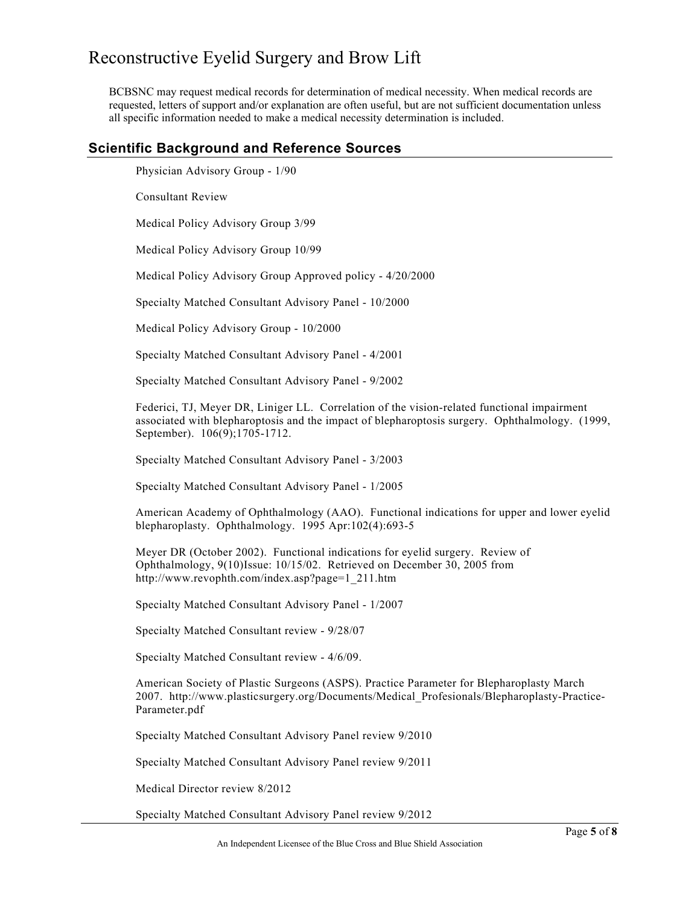BCBSNC may request medical records for determination of medical necessity. When medical records are requested, letters of support and/or explanation are often useful, but are not sufficient documentation unless all specific information needed to make a medical necessity determination is included.

#### **Scientific Background and Reference Sources**

Physician Advisory Group - 1/90

Consultant Review

Medical Policy Advisory Group 3/99

Medical Policy Advisory Group 10/99

Medical Policy Advisory Group Approved policy - 4/20/2000

Specialty Matched Consultant Advisory Panel - 10/2000

Medical Policy Advisory Group - 10/2000

Specialty Matched Consultant Advisory Panel - 4/2001

Specialty Matched Consultant Advisory Panel - 9/2002

Federici, TJ, Meyer DR, Liniger LL. Correlation of the vision-related functional impairment associated with blepharoptosis and the impact of blepharoptosis surgery. Ophthalmology. (1999, September). 106(9);1705-1712.

Specialty Matched Consultant Advisory Panel - 3/2003

Specialty Matched Consultant Advisory Panel - 1/2005

American Academy of Ophthalmology (AAO). Functional indications for upper and lower eyelid blepharoplasty. Ophthalmology. 1995 Apr:102(4):693-5

Meyer DR (October 2002). Functional indications for eyelid surgery. Review of Ophthalmology, 9(10)Issue: 10/15/02. Retrieved on December 30, 2005 from http://www.revophth.com/index.asp?page=1\_211.htm

Specialty Matched Consultant Advisory Panel - 1/2007

Specialty Matched Consultant review - 9/28/07

Specialty Matched Consultant review - 4/6/09.

American Society of Plastic Surgeons (ASPS). Practice Parameter for Blepharoplasty March 2007. http://www.plasticsurgery.org/Documents/Medical\_Profesionals/Blepharoplasty-Practice-Parameter.pdf

Specialty Matched Consultant Advisory Panel review 9/2010

Specialty Matched Consultant Advisory Panel review 9/2011

Medical Director review 8/2012

Specialty Matched Consultant Advisory Panel review 9/2012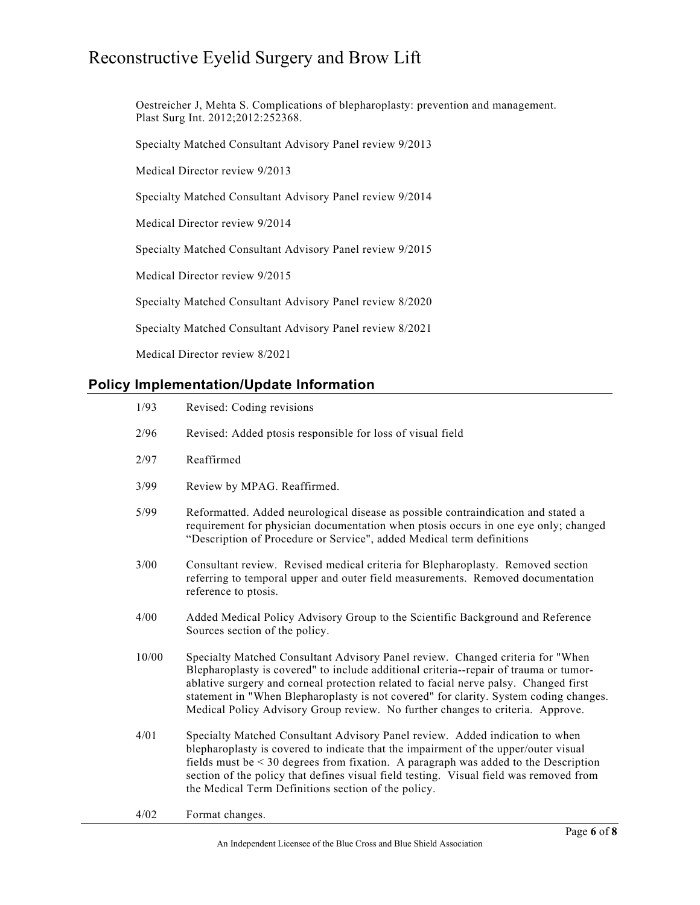Oestreicher J, Mehta S. Complications of blepharoplasty: prevention and management. Plast Surg Int. 2012;2012:252368.

Specialty Matched Consultant Advisory Panel review 9/2013

Medical Director review 9/2013

Specialty Matched Consultant Advisory Panel review 9/2014

Medical Director review 9/2014

Specialty Matched Consultant Advisory Panel review 9/2015

Medical Director review 9/2015

Specialty Matched Consultant Advisory Panel review 8/2020

Specialty Matched Consultant Advisory Panel review 8/2021

Medical Director review 8/2021

### **Policy Implementation/Update Information**

| 1/93  | Revised: Coding revisions                                                                                                                                                                                                                                                                                                                                                                                                                  |
|-------|--------------------------------------------------------------------------------------------------------------------------------------------------------------------------------------------------------------------------------------------------------------------------------------------------------------------------------------------------------------------------------------------------------------------------------------------|
| 2/96  | Revised: Added ptosis responsible for loss of visual field                                                                                                                                                                                                                                                                                                                                                                                 |
| 2/97  | Reaffirmed                                                                                                                                                                                                                                                                                                                                                                                                                                 |
| 3/99  | Review by MPAG. Reaffirmed.                                                                                                                                                                                                                                                                                                                                                                                                                |
| 5/99  | Reformatted. Added neurological disease as possible contraindication and stated a<br>requirement for physician documentation when ptosis occurs in one eye only; changed<br>"Description of Procedure or Service", added Medical term definitions                                                                                                                                                                                          |
| 3/00  | Consultant review. Revised medical criteria for Blepharoplasty. Removed section<br>referring to temporal upper and outer field measurements. Removed documentation<br>reference to ptosis.                                                                                                                                                                                                                                                 |
| 4/00  | Added Medical Policy Advisory Group to the Scientific Background and Reference<br>Sources section of the policy.                                                                                                                                                                                                                                                                                                                           |
| 10/00 | Specialty Matched Consultant Advisory Panel review. Changed criteria for "When<br>Blepharoplasty is covered" to include additional criteria--repair of trauma or tumor-<br>ablative surgery and corneal protection related to facial nerve palsy. Changed first<br>statement in "When Blepharoplasty is not covered" for clarity. System coding changes.<br>Medical Policy Advisory Group review. No further changes to criteria. Approve. |
| 4/01  | Specialty Matched Consultant Advisory Panel review. Added indication to when<br>blepharoplasty is covered to indicate that the impairment of the upper/outer visual<br>fields must be $<$ 30 degrees from fixation. A paragraph was added to the Description<br>section of the policy that defines visual field testing. Visual field was removed from<br>the Medical Term Definitions section of the policy.                              |
| 4/02  | Format changes.                                                                                                                                                                                                                                                                                                                                                                                                                            |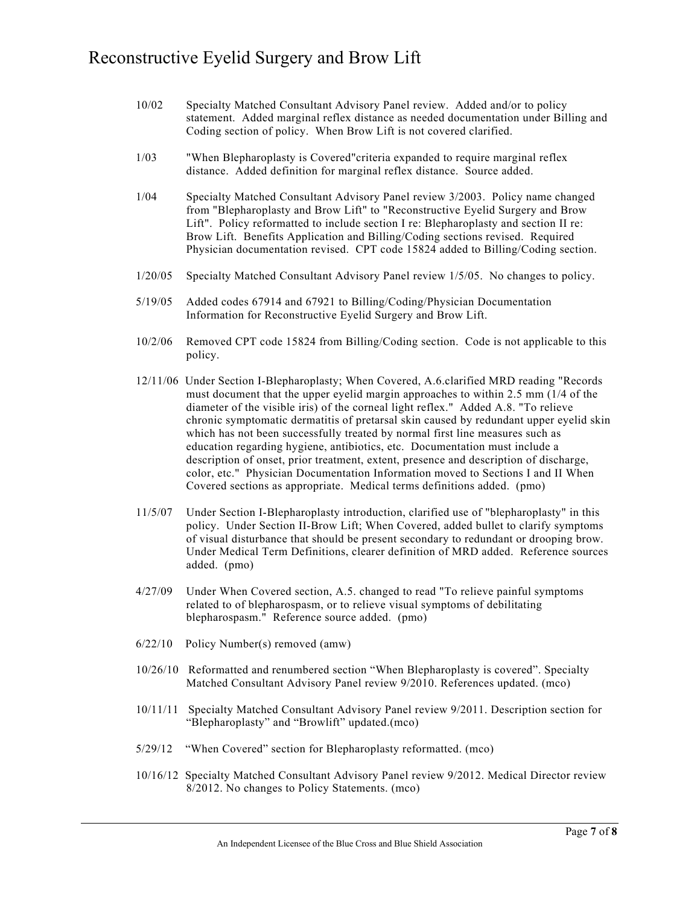| 10/02 | Specialty Matched Consultant Advisory Panel review. Added and/or to policy          |
|-------|-------------------------------------------------------------------------------------|
|       | statement. Added marginal reflex distance as needed documentation under Billing and |
|       | Coding section of policy. When Brow Lift is not covered clarified.                  |

- 1/03 "When Blepharoplasty is Covered"criteria expanded to require marginal reflex distance. Added definition for marginal reflex distance. Source added.
- 1/04 Specialty Matched Consultant Advisory Panel review 3/2003. Policy name changed from "Blepharoplasty and Brow Lift" to "Reconstructive Eyelid Surgery and Brow Lift". Policy reformatted to include section I re: Blepharoplasty and section II re: Brow Lift. Benefits Application and Billing/Coding sections revised. Required Physician documentation revised. CPT code 15824 added to Billing/Coding section.
- 1/20/05 Specialty Matched Consultant Advisory Panel review 1/5/05. No changes to policy.
- 5/19/05 Added codes 67914 and 67921 to Billing/Coding/Physician Documentation Information for Reconstructive Eyelid Surgery and Brow Lift.
- 10/2/06 Removed CPT code 15824 from Billing/Coding section. Code is not applicable to this policy.
- 12/11/06 Under Section I-Blepharoplasty; When Covered, A.6.clarified MRD reading "Records must document that the upper eyelid margin approaches to within 2.5 mm (1/4 of the diameter of the visible iris) of the corneal light reflex." Added A.8. "To relieve chronic symptomatic dermatitis of pretarsal skin caused by redundant upper eyelid skin which has not been successfully treated by normal first line measures such as education regarding hygiene, antibiotics, etc. Documentation must include a description of onset, prior treatment, extent, presence and description of discharge, color, etc." Physician Documentation Information moved to Sections I and II When Covered sections as appropriate. Medical terms definitions added. (pmo)
- 11/5/07 Under Section I-Blepharoplasty introduction, clarified use of "blepharoplasty" in this policy. Under Section II-Brow Lift; When Covered, added bullet to clarify symptoms of visual disturbance that should be present secondary to redundant or drooping brow. Under Medical Term Definitions, clearer definition of MRD added. Reference sources added. (pmo)
- 4/27/09 Under When Covered section, A.5. changed to read "To relieve painful symptoms related to of blepharospasm, or to relieve visual symptoms of debilitating blepharospasm." Reference source added. (pmo)
- 6/22/10 Policy Number(s) removed (amw)
- 10/26/10 Reformatted and renumbered section "When Blepharoplasty is covered". Specialty Matched Consultant Advisory Panel review 9/2010. References updated. (mco)
- 10/11/11 Specialty Matched Consultant Advisory Panel review 9/2011. Description section for "Blepharoplasty" and "Browlift" updated.(mco)
- 5/29/12 "When Covered" section for Blepharoplasty reformatted. (mco)
- 10/16/12 Specialty Matched Consultant Advisory Panel review 9/2012. Medical Director review 8/2012. No changes to Policy Statements. (mco)